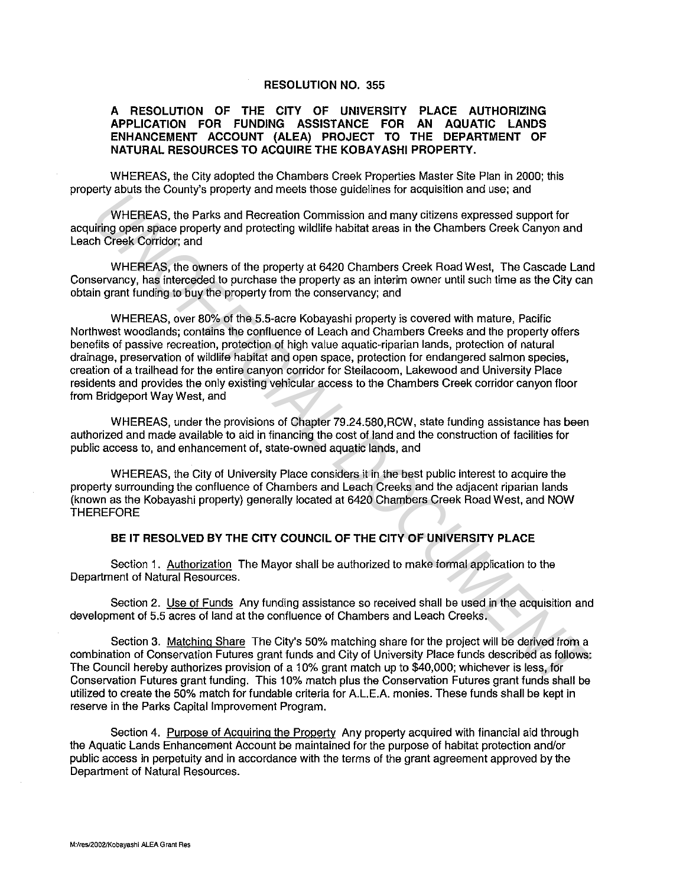## **RESOLUTION NO. 355**

## **A RESOLUTION OF THE CITY OF UNIVERSITY PLACE AUTHORIZING APPLICATION FOR FUNDING ASSISTANCE FOR AN AQUATIC LANDS ENHANCEMENT ACCOUNT (ALEA) PROJECT TO THE DEPARTMENT OF NATURAL RESOURCES TO ACQUIRE THE KOBAYASHI PROPERTY.**

WHEREAS, the City adopted the Chambers Creek Properties Master Site Plan in 2000; this property abuts the County's property and meets those guidelines for acquisition and use; and

WHEREAS, the Parks and Recreation Commission and many citizens expressed support for acquiring open space property and protecting wildlife habitat areas in the Chambers Creek Canyon and Leach Creek Corridor; and

WHEREAS, the owners of the property at 6420 Chambers Creek Road West, The Cascade Land Conservancy, has interceded to purchase the property as an interim owner until such time as the City can obtain grant funding to buy the property from the conservancy; and

WHEREAS, over 80% of the 5.5-acre Kobayashi property is covered with mature, Pacific Northwest woodlands; contains the confluence of Leach and Chambers Creeks and the property offers benefits of passive recreation, protection of high value aquatic-riparian lands, protection of natural drainage, preservation of wildlife habitat and open space, protection for endangered salmon species, creation of a trailhead for the entire canyon corridor for Steilacoom, Lakewood and University Place residents and provides the only existing vehicular access to the Chambers Creek corridor canyon floor from Bridgeport Way West, and WHEREAS, the Parks and Recreation Commission and many citizens expressed support for<br> *WHEREAS, the Parks and Recreation Commission and many citizens expressed support for<br>
UNCEREAS, the parks and Recreation Commission and* 

WHEREAS, under the provisions of Chapter 79.24.580,RCW, state funding assistance has been authorized and made available to aid in financing the cost of land and the construction of facilities for public access to, and enhancement of, state-owned aquatic lands, and

WHEREAS, the City of University Place considers it in the best public interest to acquire the property surrounding the confluence of Chambers and Leach Creeks and the adjacent riparian lands (known as the Kobayashi property) generally located at 6420 Chambers Creek Road West, and NOW **THEREFORE** 

## **BE IT RESOLVED BY THE CITY COUNCIL OF THE CITY OF UNIVERSITY PLACE**

Section 1. Authorization The Mayor shall be authorized to make formal application to the Department of Natural Resources.

Section 2. Use of Funds Any funding assistance so received shall be used in the acquisition and development of 5.5 acres of land at the confluence of Chambers and Leach Creeks.

Section 3. Matching Share The City's 50% matching share tor the project will be derived from a combination of Conservation Futures grant funds and City of University Place funds described as follows: The Council hereby authorizes provision of a 10% grant match up to \$40,000; whichever is less, tor Conservation Futures grant funding. This 10% match plus the Conservation Futures grant funds shall be utilized to create the 50% match for fundable criteria for A.LE.A. monies. These funds shall be kept in reserve in the Parks Capital Improvement Program.

Section 4. Purpose of Acquiring the Property Any property acquired with financial aid through the Aquatic Lands Enhancement Account be maintained for the purpose of habitat protection and/or public access in perpetuity and in accordance with the terms of the grant agreement approved by the Department of Natural Resources.